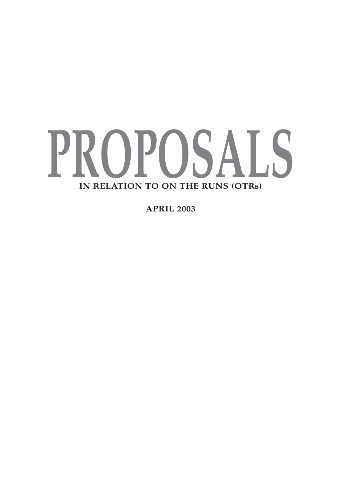

**APRIL 2003**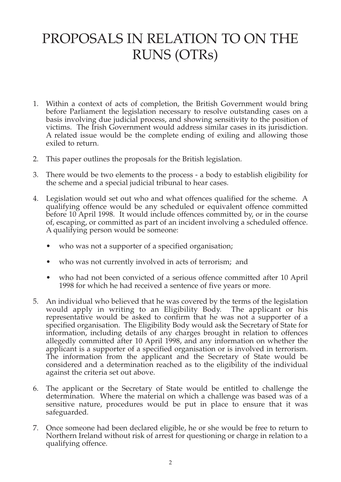## PROPOSALS IN RELATION TO ON THE RUNS (OTRs)

- 1. Within a context of acts of completion, the British Government would bring before Parliament the legislation necessary to resolve outstanding cases on a basis involving due judicial process, and showing sensitivity to the position of victims. The Irish Government would address similar cases in its jurisdiction. A related issue would be the complete ending of exiling and allowing those exiled to return.
- 2. This paper outlines the proposals for the British legislation.
- 3. There would be two elements to the process a body to establish eligibility for the scheme and a special judicial tribunal to hear cases.
- 4. Legislation would set out who and what offences qualified for the scheme. A qualifying offence would be any scheduled or equivalent offence committed before 10 April 1998. It would include offences committed by, or in the course of, escaping, or committed as part of an incident involving a scheduled offence. A qualifying person would be someone:
	- who was not a supporter of a specified organisation;
	- who was not currently involved in acts of terrorism; and
	- who had not been convicted of a serious offence committed after 10 April 1998 for which he had received a sentence of five years or more.
- 5. An individual who believed that he was covered by the terms of the legislation would apply in writing to an Eligibility Body. The applicant or his representative would be asked to confirm that he was not a supporter of a specified organisation. The Eligibility Body would ask the Secretary of State for information, including details of any charges brought in relation to offences allegedly committed after 10 April 1998, and any information on whether the applicant is a supporter of a specified organisation or is involved in terrorism. The information from the applicant and the Secretary of State would be considered and a determination reached as to the eligibility of the individual against the criteria set out above.
- 6. The applicant or the Secretary of State would be entitled to challenge the determination. Where the material on which a challenge was based was of a sensitive nature, procedures would be put in place to ensure that it was safeguarded.
- 7. Once someone had been declared eligible, he or she would be free to return to Northern Ireland without risk of arrest for questioning or charge in relation to a qualifying offence.